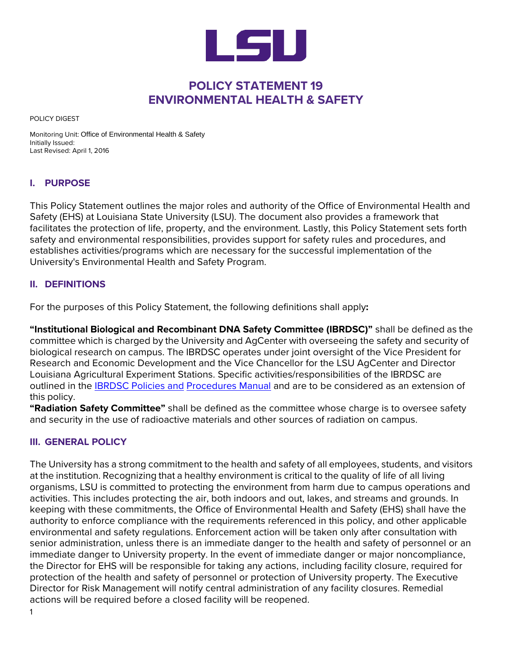

# **POLICY STATEMENT 19 ENVIRONMENTAL HEALTH & SAFETY**

POLICY DIGEST

Monitoring Unit: Office of Environmental Health & Safety Initially Issued: Last Revised: April 1, 2016

## **I. PURPOSE**

This Policy Statement outlines the major roles and authority of the Office of Environmental Health and Safety (EHS) at Louisiana State University (LSU). The document also provides a framework that facilitates the protection of life, property, and the environment. Lastly, this Policy Statement sets forth safety and environmental responsibilities, provides support for safety rules and procedures, and establishes activities/programs which are necessary for the successful implementation of the University's Environmental Health and Safety Program.

#### **II. DEFINITIONS**

For the purposes of this Policy Statement, the following definitions shall apply**:**

**"Institutional Biological and Recombinant DNA Safety Committee (IBRDSC)"** shall be defined as the committee which is charged by the University and AgCenter with overseeing the safety and security of biological research on campus. The IBRDSC operates under joint oversight of the Vice President for Research and Economic Development and the Vice Chancellor for the LSU AgCenter and Director Louisiana Agricultural Experiment Stations. Specific activities/responsibilities of the IBRDSC are outlined in the [IBRDSC Policies and](https://lsu.edu/ehs/files/IBRDSC-Charter-Policies-2012-Revision.pdf) [Procedures Manual](http://appl003.lsu.edu/PubSafety/oes.nsf/%24Content/Inter-Institutional%2BBiological%2Band%2BRecombinant%2BDNA%2BSafety%2BCommittee%2B(IBRDSC)?OpenDocument) and are to be considered as an extension of this policy.

**"Radiation Safety Committee"** shall be defined as the committee whose charge is to oversee safety and security in the use of radioactive materials and other sources of radiation on campus.

## **III. GENERAL POLICY**

The University has a strong commitment to the health and safety of all employees, students, and visitors at the institution. Recognizing that a healthy environment is critical to the quality of life of all living organisms, LSU is committed to protecting the environment from harm due to campus operations and activities. This includes protecting the air, both indoors and out, lakes, and streams and grounds. In keeping with these commitments, the Office of Environmental Health and Safety (EHS) shall have the authority to enforce compliance with the requirements referenced in this policy, and other applicable environmental and safety regulations. Enforcement action will be taken only after consultation with senior administration, unless there is an immediate danger to the health and safety of personnel or an immediate danger to University property. In the event of immediate danger or major noncompliance, the Director for EHS will be responsible for taking any actions, including facility closure, required for protection of the health and safety of personnel or protection of University property. The Executive Director for Risk Management will notify central administration of any facility closures. Remedial actions will be required before a closed facility will be reopened.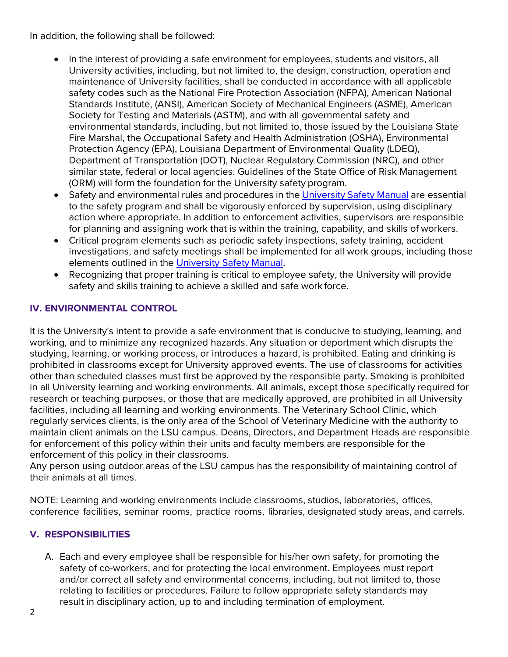In addition, the following shall be followed:

- In the interest of providing a safe environment for employees, students and visitors, all University activities, including, but not limited to, the design, construction, operation and maintenance of University facilities, shall be conducted in accordance with all applicable safety codes such as the National Fire Protection Association (NFPA), American National Standards Institute, (ANSI), American Society of Mechanical Engineers (ASME), American Society for Testing and Materials (ASTM), and with all governmental safety and environmental standards, including, but not limited to, those issued by the Louisiana State Fire Marshal, the Occupational Safety and Health Administration (OSHA), Environmental Protection Agency (EPA), Louisiana Department of Environmental Quality (LDEQ), Department of Transportation (DOT), Nuclear Regulatory Commission (NRC), and other similar state, federal or local agencies. Guidelines of the State Office of Risk Management (ORM) will form the foundation for the University safety program.
- Safety and environmental rules and procedures in the [University](https://lsu.edu/ehs/references/university-safety-manual/0_safety-manual.php) Safety Manual are essential to the safety program and shall be vigorously enforced by supervision, using disciplinary action where appropriate. In addition to enforcement activities, supervisors are responsible for planning and assigning work that is within the training, capability, and skills of workers.
- Critical program elements such as periodic safety inspections, safety training, accident investigations, and safety meetings shall be implemented for all work groups, including those elements outlined in the [University Safety](https://lsu.edu/ehs/references/university-safety-manual/0_safety-manual.php) Manual.
- Recognizing that proper training is critical to employee safety, the University will provide safety and skills training to achieve a skilled and safe work force.

# **IV. ENVIRONMENTAL CONTROL**

It is the University's intent to provide a safe environment that is conducive to studying, learning, and working, and to minimize any recognized hazards. Any situation or deportment which disrupts the studying, learning, or working process, or introduces a hazard, is prohibited. Eating and drinking is prohibited in classrooms except for University approved events. The use of classrooms for activities other than scheduled classes must first be approved by the responsible party. Smoking is prohibited in all University learning and working environments. All animals, except those specifically required for research or teaching purposes, or those that are medically approved, are prohibited in all University facilities, including all learning and working environments. The Veterinary School Clinic, which regularly services clients, is the only area of the School of Veterinary Medicine with the authority to maintain client animals on the LSU campus. Deans, Directors, and Department Heads are responsible for enforcement of this policy within their units and faculty members are responsible for the enforcement of this policy in their classrooms.

Any person using outdoor areas of the LSU campus has the responsibility of maintaining control of their animals at all times.

NOTE: Learning and working environments include classrooms, studios, laboratories, offices, conference facilities, seminar rooms, practice rooms, libraries, designated study areas, and carrels.

## **V. RESPONSIBILITIES**

A. Each and every employee shall be responsible for his/her own safety, for promoting the safety of co-workers, and for protecting the local environment. Employees must report and/or correct all safety and environmental concerns, including, but not limited to, those relating to facilities or procedures. Failure to follow appropriate safety standards may result in disciplinary action, up to and including termination of employment.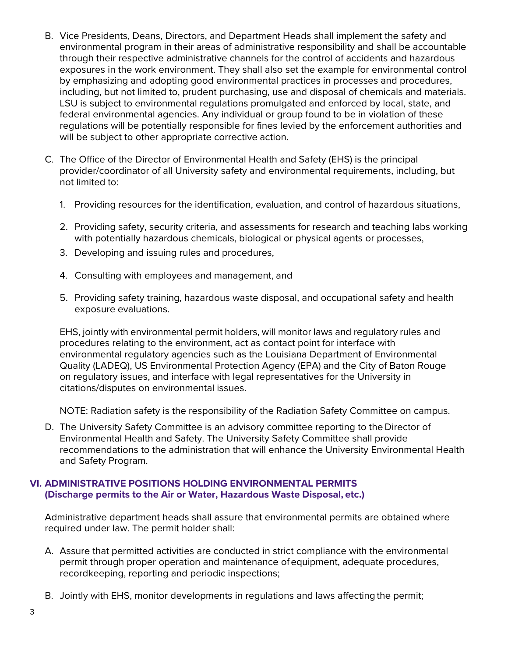- B. Vice Presidents, Deans, Directors, and Department Heads shall implement the safety and environmental program in their areas of administrative responsibility and shall be accountable through their respective administrative channels for the control of accidents and hazardous exposures in the work environment. They shall also set the example for environmental control by emphasizing and adopting good environmental practices in processes and procedures, including, but not limited to, prudent purchasing, use and disposal of chemicals and materials. LSU is subject to environmental regulations promulgated and enforced by local, state, and federal environmental agencies. Any individual or group found to be in violation of these regulations will be potentially responsible for fines levied by the enforcement authorities and will be subject to other appropriate corrective action.
- C. The Office of the Director of Environmental Health and Safety (EHS) is the principal provider/coordinator of all University safety and environmental requirements, including, but not limited to:
	- 1. Providing resources for the identification, evaluation, and control of hazardous situations,
	- 2. Providing safety, security criteria, and assessments for research and teaching labs working with potentially hazardous chemicals, biological or physical agents or processes,
	- 3. Developing and issuing rules and procedures,
	- 4. Consulting with employees and management, and
	- 5. Providing safety training, hazardous waste disposal, and occupational safety and health exposure evaluations.

EHS, jointly with environmental permit holders, will monitor laws and regulatory rules and procedures relating to the environment, act as contact point for interface with environmental regulatory agencies such as the Louisiana Department of Environmental Quality (LADEQ), US Environmental Protection Agency (EPA) and the City of Baton Rouge on regulatory issues, and interface with legal representatives for the University in citations/disputes on environmental issues.

NOTE: Radiation safety is the responsibility of the Radiation Safety Committee on campus.

D. The University Safety Committee is an advisory committee reporting to the Director of Environmental Health and Safety. The University Safety Committee shall provide recommendations to the administration that will enhance the University Environmental Health and Safety Program.

#### **VI. ADMINISTRATIVE POSITIONS HOLDING ENVIRONMENTAL PERMITS (Discharge permits to the Air or Water, Hazardous Waste Disposal, etc.)**

Administrative department heads shall assure that environmental permits are obtained where required under law. The permit holder shall:

- A. Assure that permitted activities are conducted in strict compliance with the environmental permit through proper operation and maintenance ofequipment, adequate procedures, recordkeeping, reporting and periodic inspections;
- B. Jointly with EHS, monitor developments in regulations and laws affecting the permit;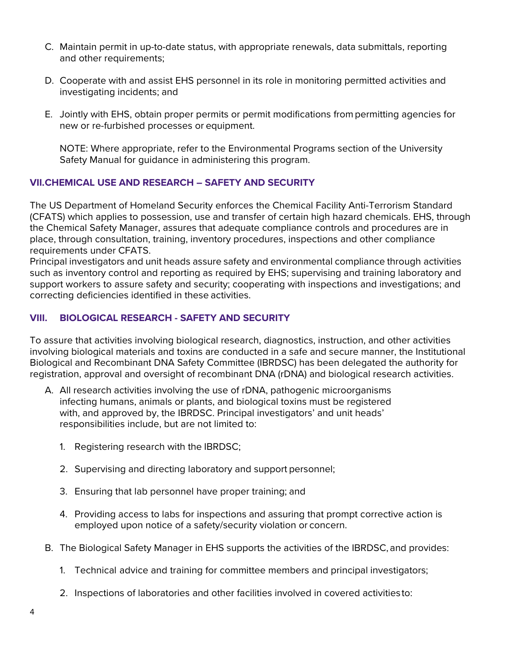- C. Maintain permit in up-to-date status, with appropriate renewals, data submittals, reporting and other requirements;
- D. Cooperate with and assist EHS personnel in its role in monitoring permitted activities and investigating incidents; and
- E. Jointly with EHS, obtain proper permits or permit modifications from permitting agencies for new or re-furbished processes or equipment.

NOTE: Where appropriate, refer to the Environmental Programs section of the University Safety Manual for guidance in administering this program.

#### **VII.CHEMICAL USE AND RESEARCH – SAFETY AND SECURITY**

The US Department of Homeland Security enforces the Chemical Facility Anti-Terrorism Standard (CFATS) which applies to possession, use and transfer of certain high hazard chemicals. EHS, through the Chemical Safety Manager, assures that adequate compliance controls and procedures are in place, through consultation, training, inventory procedures, inspections and other compliance requirements under CFATS.

Principal investigators and unit heads assure safety and environmental compliance through activities such as inventory control and reporting as required by EHS; supervising and training laboratory and support workers to assure safety and security; cooperating with inspections and investigations; and correcting deficiencies identified in these activities.

## **VIII. BIOLOGICAL RESEARCH - SAFETY AND SECURITY**

To assure that activities involving biological research, diagnostics, instruction, and other activities involving biological materials and toxins are conducted in a safe and secure manner, the Institutional Biological and Recombinant DNA Safety Committee (IBRDSC) has been delegated the authority for registration, approval and oversight of recombinant DNA (rDNA) and biological research activities.

- A. All research activities involving the use of rDNA, pathogenic microorganisms infecting humans, animals or plants, and biological toxins must be registered with, and approved by, the IBRDSC. Principal investigators' and unit heads' responsibilities include, but are not limited to:
	- 1. Registering research with the IBRDSC;
	- 2. Supervising and directing laboratory and support personnel;
	- 3. Ensuring that lab personnel have proper training; and
	- 4. Providing access to labs for inspections and assuring that prompt corrective action is employed upon notice of a safety/security violation or concern.
- B. The Biological Safety Manager in EHS supports the activities of the IBRDSC, and provides:
	- 1. Technical advice and training for committee members and principal investigators;
	- 2. Inspections of laboratories and other facilities involved in covered activitiesto: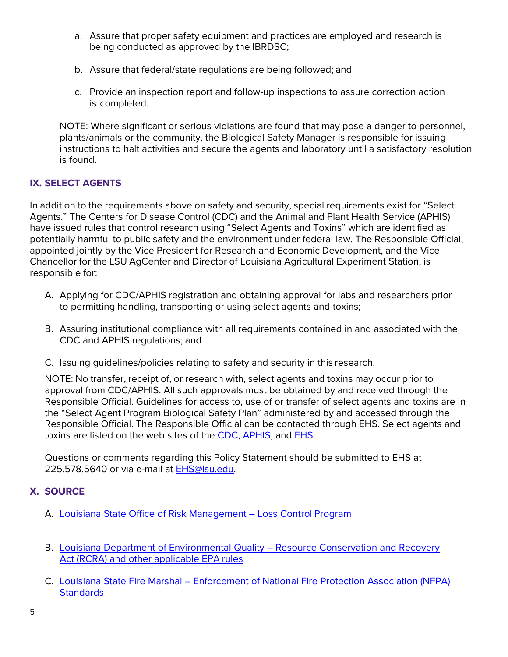- a. Assure that proper safety equipment and practices are employed and research is being conducted as approved by the IBRDSC;
- b. Assure that federal/state regulations are being followed; and
- c. Provide an inspection report and follow-up inspections to assure correction action is completed.

NOTE: Where significant or serious violations are found that may pose a danger to personnel, plants/animals or the community, the Biological Safety Manager is responsible for issuing instructions to halt activities and secure the agents and laboratory until a satisfactory resolution is found.

## **IX. SELECT AGENTS**

In addition to the requirements above on safety and security, special requirements exist for "Select Agents." The Centers for Disease Control (CDC) and the Animal and Plant Health Service (APHIS) have issued rules that control research using "Select Agents and Toxins" which are identified as potentially harmful to public safety and the environment under federal law. The Responsible Official, appointed jointly by the Vice President for Research and Economic Development, and the Vice Chancellor for the LSU AgCenter and Director of Louisiana Agricultural Experiment Station, is responsible for:

- A. Applying for CDC/APHIS registration and obtaining approval for labs and researchers prior to permitting handling, transporting or using select agents and toxins;
- B. Assuring institutional compliance with all requirements contained in and associated with the CDC and APHIS regulations; and
- C. Issuing guidelines/policies relating to safety and security in this research.

NOTE: No transfer, receipt of, or research with, select agents and toxins may occur prior to approval from CDC/APHIS. All such approvals must be obtained by and received through the Responsible Official. Guidelines for access to, use of or transfer of select agents and toxins are in the "Select Agent Program Biological Safety Plan" administered by and accessed through the Responsible Official. The Responsible Official can be contacted through EHS. Select agents and toxins are listed on the web sites of the [CDC, APHIS, a](https://www.cdc.gov/)nd [EHS.](https://lsu.edu/ehs/)

Questions or comments regarding this Policy Statement should be submitted to EHS at 225.578.5640 or via e-mail at [EHS@lsu.edu.](mailto:EHS@lsu.edu)

## **X. SOURCE**

- A. [Louisiana State Office of Risk Management –](https://www.doa.la.gov/Pages/orm/Loss-Prevention.aspx) Loss Control Program
- B. [Louisiana Department of Environmental Quality –](https://deq.louisiana.gov/) Resource Conservation and [Recovery](https://deq.louisiana.gov/)  [Act \(RCRA\) and other applicable EPA](http://www.deq.louisiana.gov/portal/) rules
- C. Louisiana State Fire Marshal [Enforcement of National Fire Protection Association](http://sfm.dps.louisiana.gov/) [\(NFPA\)](http://sfm.dps.louisiana.gov/) **[Standards](http://sfm.dps.louisiana.gov/)**